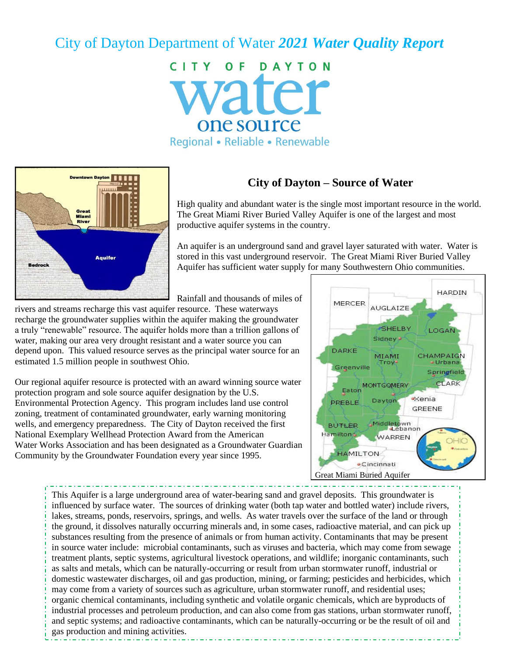# City of Dayton Department of Water *2021 Water Quality Report*

CITY OF DAYTON vater one source Regional • Reliable • Renewable



# **City of Dayton – Source of Water**

High quality and abundant water is the single most important resource in the world. The Great Miami River Buried Valley Aquifer is one of the largest and most productive aquifer systems in the country.

An aquifer is an underground sand and gravel layer saturated with water. Water is stored in this vast underground reservoir. The Great Miami River Buried Valley Aquifer has sufficient water supply for many Southwestern Ohio communities.

Rainfall and thousands of miles of

rivers and streams recharge this vast aquifer resource. These waterways recharge the groundwater supplies within the aquifer making the groundwater a truly "renewable" resource. The aquifer holds more than a trillion gallons of water, making our area very drought resistant and a water source you can depend upon. This valued resource serves as the principal water source for an estimated 1.5 million people in southwest Ohio.

Our regional aquifer resource is protected with an award winning source water protection program and sole source aquifer designation by the U.S. Environmental Protection Agency. This program includes land use control zoning, treatment of contaminated groundwater, early warning monitoring wells, and emergency preparedness. The City of Dayton received the first National Exemplary Wellhead Protection Award from the American Water Works Association and has been designated as a Groundwater Guardian Community by the Groundwater Foundation every year since 1995.



This Aquifer is a large underground area of water-bearing sand and gravel deposits. This groundwater is influenced by surface water. The sources of drinking water (both tap water and bottled water) include rivers, lakes, streams, ponds, reservoirs, springs, and wells. As water travels over the surface of the land or through the ground, it dissolves naturally occurring minerals and, in some cases, radioactive material, and can pick up substances resulting from the presence of animals or from human activity. Contaminants that may be present in source water include: microbial contaminants, such as viruses and bacteria, which may come from sewage treatment plants, septic systems, agricultural livestock operations, and wildlife; inorganic contaminants, such as salts and metals, which can be naturally-occurring or result from urban stormwater runoff, industrial or domestic wastewater discharges, oil and gas production, mining, or farming; pesticides and herbicides, which may come from a variety of sources such as agriculture, urban stormwater runoff, and residential uses; organic chemical contaminants, including synthetic and volatile organic chemicals, which are byproducts of industrial processes and petroleum production, and can also come from gas stations, urban stormwater runoff, and septic systems; and radioactive contaminants, which can be naturally-occurring or be the result of oil and gas production and mining activities.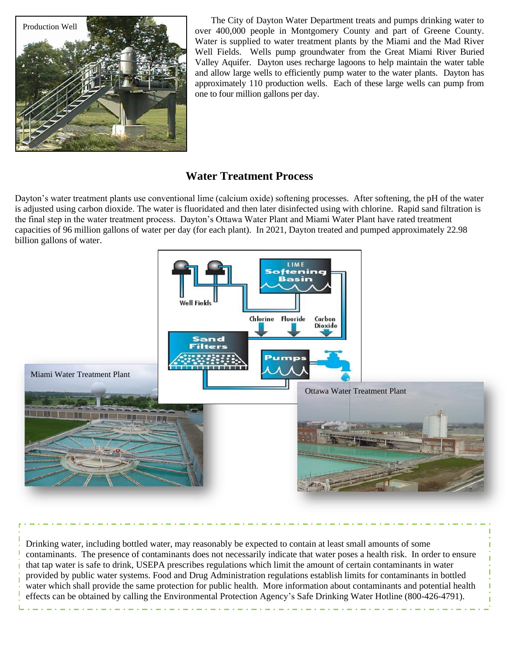

The City of Dayton Water Department treats and pumps drinking water to over 400,000 people in Montgomery County and part of Greene County. Water is supplied to water treatment plants by the Miami and the Mad River Well Fields. Wells pump groundwater from the Great Miami River Buried Valley Aquifer. Dayton uses recharge lagoons to help maintain the water table and allow large wells to efficiently pump water to the water plants. Dayton has approximately 110 production wells. Each of these large wells can pump from one to four million gallons per day.

# **Water Treatment Process**

Dayton's water treatment plants use conventional lime (calcium oxide) softening processes. After softening, the pH of the water is adjusted using carbon dioxide. The water is fluoridated and then later disinfected using with chlorine. Rapid sand filtration is the final step in the water treatment process. Dayton's Ottawa Water Plant and Miami Water Plant have rated treatment capacities of 96 million gallons of water per day (for each plant). In 2021, Dayton treated and pumped approximately 22.98 billion gallons of water.



Drinking water, including bottled water, may reasonably be expected to contain at least small amounts of some contaminants. The presence of contaminants does not necessarily indicate that water poses a health risk. In order to ensure that tap water is safe to drink, USEPA prescribes regulations which limit the amount of certain contaminants in water provided by public water systems. Food and Drug Administration regulations establish limits for contaminants in bottled water which shall provide the same protection for public health. More information about contaminants and potential health effects can be obtained by calling the Environmental Protection Agency's Safe Drinking Water Hotline (800-426-4791).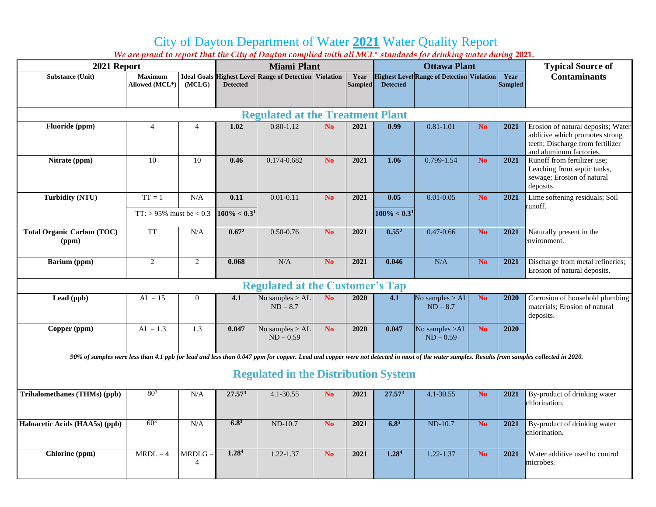# City of Dayton Department of Water **2021** Water Quality Report

|                                             |                |                              |                    |                                                               | We are proud to report that the City of Dayton complied with all MCL* standards for drinking water during 2021. |                |                   |                                                   |                          |                |                                                                                                                                                                                            |
|---------------------------------------------|----------------|------------------------------|--------------------|---------------------------------------------------------------|-----------------------------------------------------------------------------------------------------------------|----------------|-------------------|---------------------------------------------------|--------------------------|----------------|--------------------------------------------------------------------------------------------------------------------------------------------------------------------------------------------|
| 2021 Report                                 |                |                              | <b>Miami Plant</b> |                                                               |                                                                                                                 |                |                   | <b>Ottawa Plant</b>                               | <b>Typical Source of</b> |                |                                                                                                                                                                                            |
| <b>Substance (Unit)</b>                     | <b>Maximum</b> |                              |                    | <b>Ideal Goals Highest Level Range of Detection Violation</b> |                                                                                                                 | Year           |                   | <b>Highest Level Range of Detection Violation</b> |                          | Year           | <b>Contaminants</b>                                                                                                                                                                        |
|                                             | Allowed (MCL*) | (MCLG)                       | <b>Detected</b>    |                                                               |                                                                                                                 | <b>Sampled</b> | <b>Detected</b>   |                                                   |                          | <b>Sampled</b> |                                                                                                                                                                                            |
|                                             |                |                              |                    |                                                               |                                                                                                                 |                |                   |                                                   |                          |                |                                                                                                                                                                                            |
| <b>Regulated at the Treatment Plant</b>     |                |                              |                    |                                                               |                                                                                                                 |                |                   |                                                   |                          |                |                                                                                                                                                                                            |
| Fluoride (ppm)                              | $\overline{4}$ | $\overline{4}$               | 1.02               | $0.80 - 1.12$                                                 | N <sub>o</sub>                                                                                                  | 2021           | 0.99              | $0.81 - 1.01$                                     | N <sub>o</sub>           | 2021           | Erosion of natural deposits; Water<br>additive which promotes strong<br>teeth; Discharge from fertilizer<br>and aluminum factories.                                                        |
| Nitrate (ppm)                               | 10             | 10                           | 0.46               | 0.174-0.682                                                   | No.                                                                                                             | 2021           | 1.06              | 0.799-1.54                                        | N <sub>o</sub>           | 2021           | Runoff from fertilizer use;<br>Leaching from septic tanks,<br>sewage; Erosion of natural<br>deposits.                                                                                      |
| <b>Turbidity (NTU)</b>                      | $TT = 1$       | N/A                          | 0.11               | $0.01 - 0.11$                                                 | N <sub>0</sub>                                                                                                  | 2021           | 0.05              | $0.01 - 0.05$                                     | N <sub>o</sub>           | 2021           | Lime softening residuals; Soil                                                                                                                                                             |
|                                             |                | TT: $> 95\%$ must be $< 0.3$ |                    | $100\% < 0.31$                                                |                                                                                                                 |                | $100\% < 0.31$    |                                                   |                          |                | runoff.                                                                                                                                                                                    |
| <b>Total Organic Carbon (TOC)</b><br>(ppm)  | <b>TT</b>      | N/A                          | 0.67 <sup>2</sup>  | $0.50 - 0.76$                                                 | N <sub>o</sub>                                                                                                  | 2021           | $0.55^2$          | $0.47 - 0.66$                                     | N <sub>o</sub>           | 2021           | Naturally present in the<br>environment.                                                                                                                                                   |
| Barium (ppm)                                | $\overline{2}$ | $\overline{2}$               | 0.068              | N/A                                                           | No.                                                                                                             | 2021           | 0.046             | N/A                                               | N <sub>o</sub>           | 2021           | Discharge from metal refineries;<br>Erosion of natural deposits.                                                                                                                           |
| <b>Regulated at the Customer's Tap</b>      |                |                              |                    |                                                               |                                                                                                                 |                |                   |                                                   |                          |                |                                                                                                                                                                                            |
| Lead (ppb)                                  | $AL = 15$      | $\Omega$                     | 4.1                | No samples $>$ AL<br>$ND - 8.7$                               | N <sub>0</sub>                                                                                                  | 2020           | 4.1               | No samples $>$ AL<br>$ND - 8.7$                   | N <sub>o</sub>           | 2020           | Corrosion of household plumbing<br>materials; Erosion of natural<br>deposits.                                                                                                              |
| Copper (ppm)                                | $AL = 1.3$     | 1.3                          | 0.047              | No samples $>$ AL<br>$ND - 0.59$                              | N <sub>o</sub>                                                                                                  | 2020           | 0.047             | No samples $>AL$<br>$ND - 0.59$                   | <b>No</b>                | 2020           |                                                                                                                                                                                            |
|                                             |                |                              |                    |                                                               |                                                                                                                 |                |                   |                                                   |                          |                | 90% of samples were less than 4.1 ppb for lead and less than 0.047 ppm for copper. Lead and copper were not detected in most of the water samples. Results from samples collected in 2020. |
| <b>Regulated in the Distribution System</b> |                |                              |                    |                                                               |                                                                                                                 |                |                   |                                                   |                          |                |                                                                                                                                                                                            |
| <b>Trihalomethanes (THMs) (ppb)</b>         | $80^{3}$       | N/A                          | 27.57 <sup>3</sup> | $4.1 - 30.55$                                                 | N <sub>o</sub>                                                                                                  | 2021           | $27.57^{3}$       | $4.1 - 30.55$                                     | N <sub>o</sub>           | 2021           | By-product of drinking water<br>chlorination.                                                                                                                                              |
| Haloacetic Acids (HAA5s) (ppb)              | $60^{3}$       | N/A                          | $6.8^{3}$          | $ND-10.7$                                                     | N <sub>o</sub>                                                                                                  | 2021           | $6.8^{3}$         | $ND-10.7$                                         | N <sub>o</sub>           | 2021           | By-product of drinking water<br>chlorination.                                                                                                                                              |
| Chlorine (ppm)                              | $MRDL = 4$     | $MRDLG =$<br>4               | 1.28 <sup>4</sup>  | $1.22 - 1.37$                                                 | N <sub>o</sub>                                                                                                  | 2021           | 1.28 <sup>4</sup> | $1.22 - 1.37$                                     | N <sub>o</sub>           | 2021           | Water additive used to control<br>microbes.                                                                                                                                                |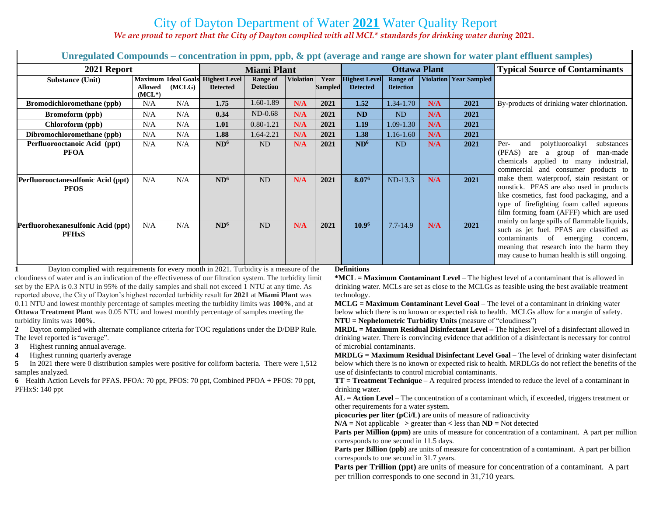# City of Dayton Department of Water **2021** Water Quality Report

*We are proud to report that the City of Dayton complied with all MCL\* standards for drinking water during* **2021.**

| Unregulated Compounds – concentration in ppm, ppb, & ppt (average and range are shown for water plant effluent samples) |                                              |        |                                                     |                              |                  |                        |                                         |                                     |                                       |                        |                                                                                                                                                                                                                                                                                                                                                                                                                                                                                                                                                                                                                                           |
|-------------------------------------------------------------------------------------------------------------------------|----------------------------------------------|--------|-----------------------------------------------------|------------------------------|------------------|------------------------|-----------------------------------------|-------------------------------------|---------------------------------------|------------------------|-------------------------------------------------------------------------------------------------------------------------------------------------------------------------------------------------------------------------------------------------------------------------------------------------------------------------------------------------------------------------------------------------------------------------------------------------------------------------------------------------------------------------------------------------------------------------------------------------------------------------------------------|
| 2021 Report                                                                                                             | <b>Miami Plant</b>                           |        |                                                     |                              |                  | <b>Ottawa Plant</b>    |                                         |                                     | <b>Typical Source of Contaminants</b> |                        |                                                                                                                                                                                                                                                                                                                                                                                                                                                                                                                                                                                                                                           |
| <b>Substance (Unit)</b>                                                                                                 | <b>Maximum</b><br><b>Allowed</b><br>$(MCL*)$ | (MCLG) | <b>Ideal Goals Highest Level</b><br><b>Detected</b> | Range of<br><b>Detection</b> | <b>Violation</b> | Year<br><b>Sampled</b> | <b>Highest Level</b><br><b>Detected</b> | <b>Range of</b><br><b>Detection</b> |                                       | Violation Year Sampled |                                                                                                                                                                                                                                                                                                                                                                                                                                                                                                                                                                                                                                           |
| <b>Bromodichloromethane</b> (ppb)                                                                                       | N/A                                          | N/A    | 1.75                                                | 1.60-1.89                    | N/A              | 2021                   | 1.52                                    | 1.34-1.70                           | N/A                                   | 2021                   | By-products of drinking water chlorination.                                                                                                                                                                                                                                                                                                                                                                                                                                                                                                                                                                                               |
| <b>Bromoform</b> (ppb)                                                                                                  | N/A                                          | N/A    | 0.34                                                | $ND-0.68$                    | N/A              | 2021                   | <b>ND</b>                               | <b>ND</b>                           | N/A                                   | 2021                   |                                                                                                                                                                                                                                                                                                                                                                                                                                                                                                                                                                                                                                           |
| Chloroform (ppb)                                                                                                        | N/A                                          | N/A    | 1.01                                                | $0.80 - 1.21$                | N/A              | 2021                   | 1.19                                    | 1.09-1.30                           | N/A                                   | 2021                   |                                                                                                                                                                                                                                                                                                                                                                                                                                                                                                                                                                                                                                           |
| Dibromochloromethane (ppb)                                                                                              | N/A                                          | N/A    | 1.88                                                | 1.64-2.21                    | N/A              | 2021                   | 1.38                                    | 1.16-1.60                           | N/A                                   | 2021                   |                                                                                                                                                                                                                                                                                                                                                                                                                                                                                                                                                                                                                                           |
| Perfluorooctanoic Acid (ppt)<br><b>PFOA</b>                                                                             | N/A                                          | N/A    | ND <sup>6</sup>                                     | N <sub>D</sub>               | N/A              | 2021                   | ND <sup>6</sup>                         | <b>ND</b>                           | N/A                                   | 2021                   | Per-<br>polyfluoroalkyl<br>substances<br>and<br>(PFAS)<br>man-made<br>of<br>a<br>group<br>are<br>chemicals applied to many industrial,<br>commercial and consumer products to<br>make them waterproof, stain resistant or<br>nonstick. PFAS are also used in products<br>like cosmetics, fast food packaging, and a<br>type of firefighting foam called aqueous<br>film forming foam (AFFF) which are used<br>mainly on large spills of flammable liquids,<br>such as jet fuel. PFAS are classified as<br>contaminants of emerging<br>concern,<br>meaning that research into the harm they<br>may cause to human health is still ongoing. |
| Perfluorooctanesulfonic Acid (ppt)<br><b>PFOS</b>                                                                       | N/A                                          | N/A    | ND <sup>6</sup>                                     | <b>ND</b>                    | N/A              | 2021                   | 8.076                                   | ND-13.3                             | N/A                                   | 2021                   |                                                                                                                                                                                                                                                                                                                                                                                                                                                                                                                                                                                                                                           |
| Perfluorohexanesulfonic Acid (ppt)<br><b>PFHxS</b>                                                                      | N/A                                          | N/A    | ND <sup>6</sup>                                     | <b>ND</b>                    | N/A              | 2021                   | 10.9 <sup>6</sup>                       | $7.7 - 14.9$                        | N/A                                   | 2021                   |                                                                                                                                                                                                                                                                                                                                                                                                                                                                                                                                                                                                                                           |

**1** Dayton complied with requirements for every month in 2021. Turbidity is a measure of the cloudiness of water and is an indication of the effectiveness of our filtration system. The turbidity limit set by the EPA is 0.3 NTU in 95% of the daily samples and shall not exceed 1 NTU at any time. As reported above, the City of Dayton's highest recorded turbidity result for **2021** at **Miami Plant** was 0.11 NTU and lowest monthly percentage of samples meeting the turbidity limits was **100%**, and at **Ottawa Treatment Plant** was 0.05 NTU and lowest monthly percentage of samples meeting the turbidity limits was **100%.**

**2** Dayton complied with alternate compliance criteria for TOC regulations under the D/DBP Rule. The level reported is "average".

**3** Highest running annual average.

**4** Highest running quarterly average

**5** In 2021 there were 0 distribution samples were positive for coliform bacteria. There were 1,512 samples analyzed.

**6** Health Action Levels for PFAS. PFOA: 70 ppt, PFOS: 70 ppt, Combined PFOA + PFOS: 70 ppt, PFHxS: 140 ppt

#### **Definitions**

**\*MCL = Maximum Contaminant Level** – The highest level of a contaminant that is allowed in drinking water. MCLs are set as close to the MCLGs as feasible using the best available treatment technology.

**MCLG = Maximum Contaminant Level Goal** – The level of a contaminant in drinking water below which there is no known or expected risk to health. MCLGs allow for a margin of safety. **NTU = Nephelometric Turbidity Units** (measure of "cloudiness")

**MRDL = Maximum Residual Disinfectant Level –** The highest level of a disinfectant allowed in drinking water. There is convincing evidence that addition of a disinfectant is necessary for control of microbial contaminants.

**MRDLG = Maximum Residual Disinfectant Level Goal –** The level of drinking water disinfectant below which there is no known or expected risk to health. MRDLGs do not reflect the benefits of the use of disinfectants to control microbial contaminants.

**TT = Treatment Technique** – A required process intended to reduce the level of a contaminant in drinking water.

**AL = Action Level** – The concentration of a contaminant which, if exceeded, triggers treatment or other requirements for a water system.

**picocuries per liter (pCi/L)** are units of measure of radioactivity

 $N/A$  = Not applicable  $\ge$  greater than  $\lt$  less than  $ND$  = Not detected

**Parts per Million (ppm)** are units of measure for concentration of a contaminant. A part per million corresponds to one second in 11.5 days.

**Parts per Billion (ppb)** are units of measure for concentration of a contaminant. A part per billion corresponds to one second in 31.7 years.

**Parts per Trillion (ppt)** are units of measure for concentration of a contaminant. A part per trillion corresponds to one second in 31,710 years.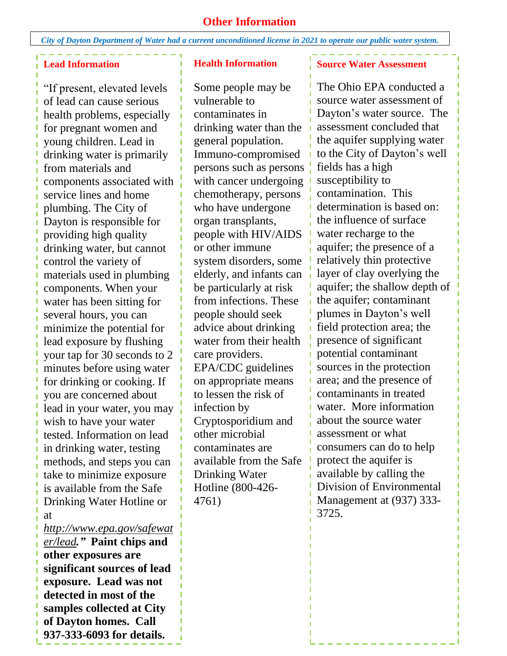### **Other Information**

*City of Dayton Department of Water had a current unconditioned license in 2021 to operate our public water system.*

### **Lead Information**

"If present, elevated levels of lead can cause serious health problems, especially for pregnant women and young children. Lead in drinking water is primarily from materials and components associated with service lines and home plumbing. The City of Dayton is responsible for providing high quality drinking water, but cannot control the variety of materials used in plumbing components. When your water has been sitting for several hours, you can minimize the potential for lead exposure by flushing your tap for 30 seconds to 2 minutes before using water for drinking or cooking. If you are concerned about lead in your water, you may wish to have your water tested. Information on lead in drinking water, testing methods, and steps you can take to minimize exposure is available from the Safe Drinking Water Hotline or at

*[http://www.epa.gov/safewat](http://www.epa.gov/safewater/lead) [er/lead](http://www.epa.gov/safewater/lead)."* **Paint chips and other exposures are significant sources of lead exposure. Lead was not detected in most of the samples collected at City of Dayton homes. Call 937-333-6093 for details.**

#### **Health Information**

Some people may be vulnerable to contaminates in drinking water than the general population. Immuno-compromised persons such as persons with cancer undergoing chemotherapy, persons who have undergone organ transplants, people with HIV/AIDS or other immune system disorders, some elderly, and infants can be particularly at risk from infections. These people should seek advice about drinking water from their health care providers. EPA/CDC guidelines on appropriate means to lessen the risk of infection by Cryptosporidium and other microbial contaminates are available from the Safe Drinking Water Hotline (800-426- 4761)

### **Source Water Assessment**

The Ohio EPA conducted a source water assessment of Dayton's water source. The assessment concluded that the aquifer supplying water to the City of Dayton's well fields has a high susceptibility to contamination. This determination is based on: the influence of surface water recharge to the aquifer; the presence of a relatively thin protective layer of clay overlying the aquifer; the shallow depth of the aquifer; contaminant plumes in Dayton's well field protection area; the presence of significant potential contaminant sources in the protection area; and the presence of contaminants in treated water. More information about the source water assessment or what consumers can do to help protect the aquifer is available by calling the Division of Environmental Management at (937) 333- 3725.